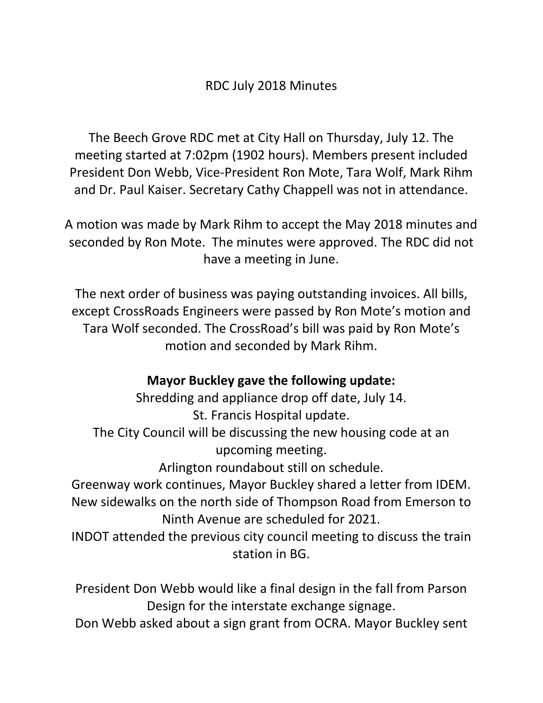## RDC July 2018 Minutes

The Beech Grove RDC met at City Hall on Thursday, July 12. The meeting started at 7:02pm (1902 hours). Members present included President Don Webb, Vice-President Ron Mote, Tara Wolf, Mark Rihm and Dr. Paul Kaiser. Secretary Cathy Chappell was not in attendance.

A motion was made by Mark Rihm to accept the May 2018 minutes and seconded by Ron Mote. The minutes were approved. The RDC did not have a meeting in June.

The next order of business was paying outstanding invoices. All bills, except CrossRoads Engineers were passed by Ron Mote's motion and Tara Wolf seconded. The CrossRoad's bill was paid by Ron Mote's motion and seconded by Mark Rihm.

## **Mayor Buckley gave the following update:**

Shredding and appliance drop off date, July 14. St. Francis Hospital update. The City Council will be discussing the new housing code at an upcoming meeting.

Arlington roundabout still on schedule.

Greenway work continues, Mayor Buckley shared a letter from IDEM. New sidewalks on the north side of Thompson Road from Emerson to Ninth Avenue are scheduled for 2021.

INDOT attended the previous city council meeting to discuss the train station in BG.

President Don Webb would like a final design in the fall from Parson Design for the interstate exchange signage.

Don Webb asked about a sign grant from OCRA. Mayor Buckley sent